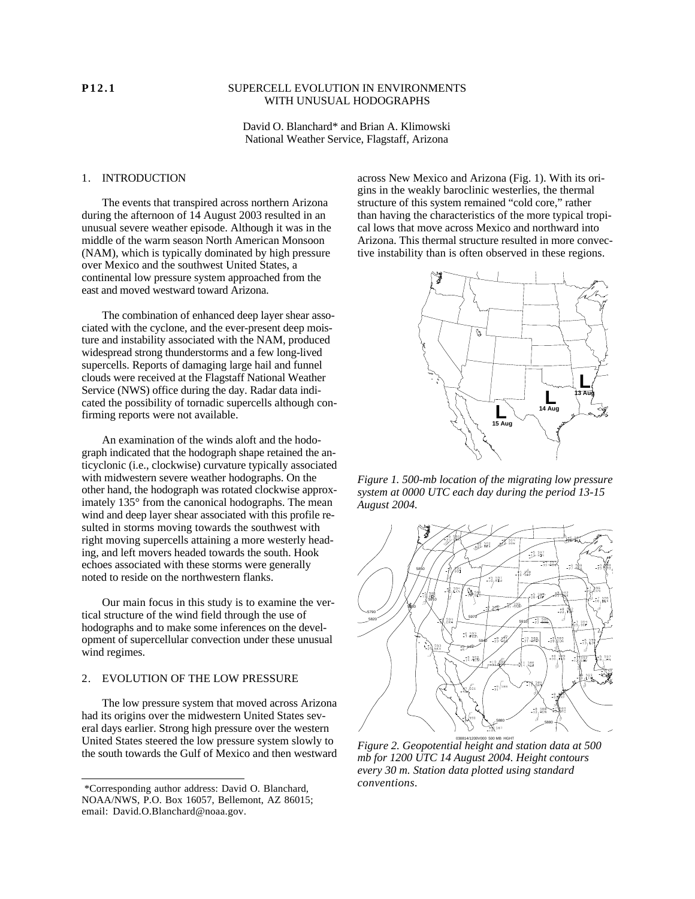### **P12.1** SUPERCELL EVOLUTION IN ENVIRONMENTS WITH UNUSUAL HODOGRAPHS

David O. Blanchard\* and Brian A. Klimowski National Weather Service, Flagstaff, Arizona

### 1. INTRODUCTION

The events that transpired across northern Arizona during the afternoon of 14 August 2003 resulted in an unusual severe weather episode. Although it was in the middle of the warm season North American Monsoon (NAM), which is typically dominated by high pressure over Mexico and the southwest United States, a continental low pressure system approached from the east and moved westward toward Arizona.

The combination of enhanced deep layer shear associated with the cyclone, and the ever-present deep moisture and instability associated with the NAM, produced widespread strong thunderstorms and a few long-lived supercells. Reports of damaging large hail and funnel clouds were received at the Flagstaff National Weather Service (NWS) office during the day. Radar data indicated the possibility of tornadic supercells although confirming reports were not available.

An examination of the winds aloft and the hodograph indicated that the hodograph shape retained the anticyclonic (i.e., clockwise) curvature typically associated with midwestern severe weather hodographs. On the other hand, the hodograph was rotated clockwise approximately 135° from the canonical hodographs. The mean wind and deep layer shear associated with this profile resulted in storms moving towards the southwest with right moving supercells attaining a more westerly heading, and left movers headed towards the south. Hook echoes associated with these storms were generally noted to reside on the northwestern flanks.

Our main focus in this study is to examine the vertical structure of the wind field through the use of hodographs and to make some inferences on the development of supercellular convection under these unusual wind regimes.

### 2. EVOLUTION OF THE LOW PRESSURE

The low pressure system that moved across Arizona had its origins over the midwestern United States several days earlier. Strong high pressure over the western United States steered the low pressure system slowly to the south towards the Gulf of Mexico and then westward

across New Mexico and Arizona (Fig. 1). With its origins in the weakly baroclinic westerlies, the thermal structure of this system remained "cold core," rather than having the characteristics of the more typical tropical lows that move across Mexico and northward into Arizona. This thermal structure resulted in more convective instability than is often observed in these regions.



*Figure 1. 500-mb location of the migrating low pressure system at 0000 UTC each day during the period 13-15 August 2004.*



030814/1200V000 500 MB HGHT *Figure 2. Geopotential height and station data at 500 mb for 1200 UTC 14 August 2004. Height contours every 30 m. Station data plotted using standard conventions.*

<sup>\*</sup>Corresponding author address: David O. Blanchard, NOAA/NWS, P.O. Box 16057, Bellemont, AZ 86015; email: David.O.Blanchard@noaa.gov.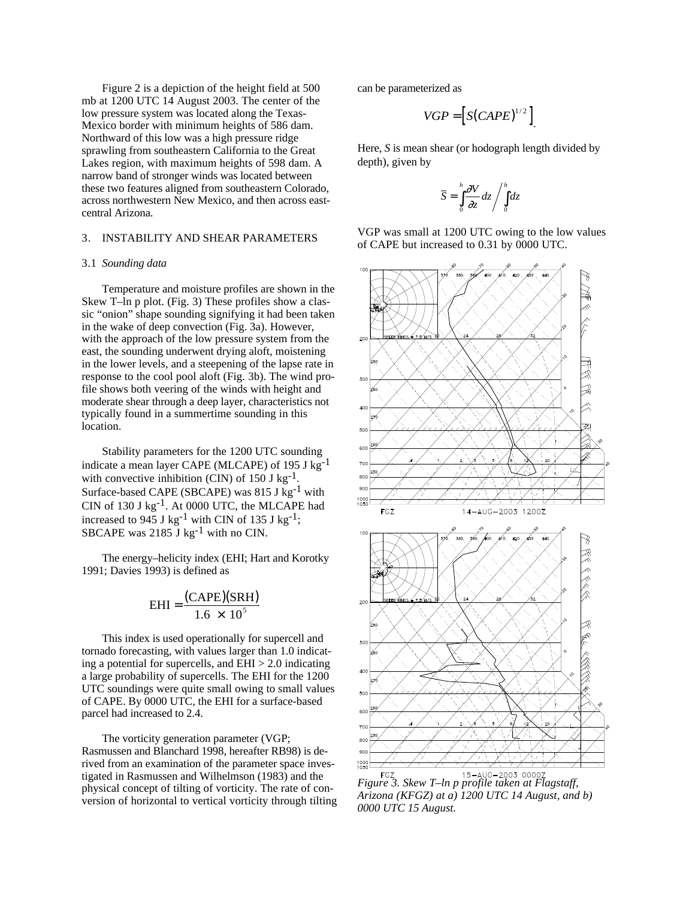Figure 2 is a depiction of the height field at 500 mb at 1200 UTC 14 August 2003. The center of the low pressure system was located along the Texas-Mexico border with minimum heights of 586 dam. Northward of this low was a high pressure ridge sprawling from southeastern California to the Great Lakes region, with maximum heights of 598 dam. A narrow band of stronger winds was located between these two features aligned from southeastern Colorado, across northwestern New Mexico, and then across eastcentral Arizona.

# 3. INSTABILITY AND SHEAR PARAMETERS

#### 3.1 *Sounding data*

Temperature and moisture profiles are shown in the Skew T–ln p plot. (Fig. 3) These profiles show a classic "onion" shape sounding signifying it had been taken in the wake of deep convection (Fig. 3a). However, with the approach of the low pressure system from the east, the sounding underwent drying aloft, moistening in the lower levels, and a steepening of the lapse rate in response to the cool pool aloft (Fig. 3b). The wind profile shows both veering of the winds with height and moderate shear through a deep layer, characteristics not typically found in a summertime sounding in this location.

Stability parameters for the 1200 UTC sounding indicate a mean layer CAPE (MLCAPE) of 195 J kg-1 with convective inhibition (CIN) of  $150 \text{ J kg}^{-1}$ . Surface-based CAPE (SBCAPE) was 815 J kg<sup>-1</sup> with CIN of 130 J kg-1. At 0000 UTC, the MLCAPE had increased to 945 J kg<sup>-1</sup> with CIN of 135 J kg<sup>-1</sup>; SBCAPE was  $2185$  J kg<sup>-1</sup> with no CIN.

The energy–helicity index (EHI; Hart and Korotky 1991; Davies 1993) is defined as

$$
EHI = \frac{(CAPE)(SRH)}{1.6 \times 10^5}
$$

This index is used operationally for supercell and tornado forecasting, with values larger than 1.0 indicating a potential for supercells, and  $EHI > 2.0$  indicating a large probability of supercells. The EHI for the 1200 UTC soundings were quite small owing to small values of CAPE. By 0000 UTC, the EHI for a surface-based parcel had increased to 2.4.

The vorticity generation parameter (VGP; Rasmussen and Blanchard 1998, hereafter RB98) is derived from an examination of the parameter space investigated in Rasmussen and Wilhelmson (1983) and the physical concept of tilting of vorticity. The rate of conversion of horizontal to vertical vorticity through tilting can be parameterized as

$$
VGP = \left[S(CAPE)^{1/2}\right]
$$

Here, *S* is mean shear (or hodograph length divided by depth), given by

$$
\overline{S} = \int_{0}^{h} \frac{V}{z} dz / \int_{0}^{h} dz
$$

VGP was small at 1200 UTC owing to the low values of CAPE but increased to 0.31 by 0000 UTC.



*Figure 3. Skew T–ln p profile taken at Flagstaff, Arizona (KFGZ) at a) 1200 UTC 14 August, and b) 0000 UTC 15 August.*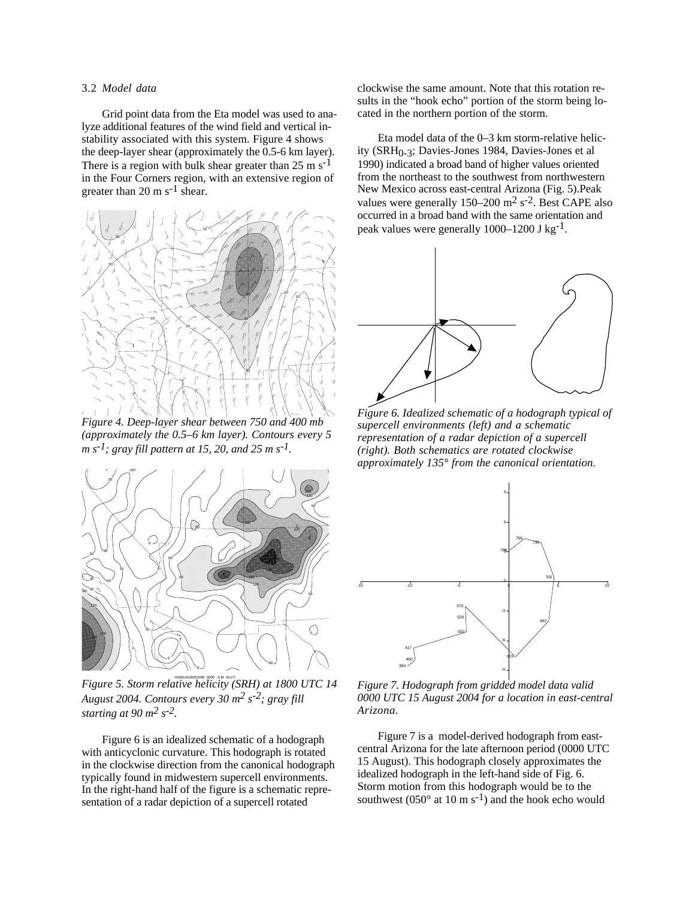### 3.2 *Model data*

Grid point data from the Eta model was used to analyze additional features of the wind field and vertical instability associated with this system. Figure 4 shows the deep-layer shear (approximately the 0.5-6 km layer). There is a region with bulk shear greater than  $25 \text{ m s}^{-1}$ in the Four Corners region, with an extensive region of greater than 20 m  $s^{-1}$  shear.



*Figure 4. Deep-layer shear between 750 and 400 mb (approximately the 0.5–6 km layer). Contours every 5 m s-1; gray fill pattern at 15, 20, and 25 m s-1.*



030814/1800V006 3000 : 0 M HLCY *Figure 5. Storm relative helicity (SRH) at 1800 UTC 14 August 2004. Contours every 30 m2 s-2; gray fill starting at 90 m2 s-2.*

Figure 6 is an idealized schematic of a hodograph with anticyclonic curvature. This hodograph is rotated in the clockwise direction from the canonical hodograph typically found in midwestern supercell environments. In the right-hand half of the figure is a schematic representation of a radar depiction of a supercell rotated

clockwise the same amount. Note that this rotation results in the "hook echo" portion of the storm being located in the northern portion of the storm.

Eta model data of the 0–3 km storm-relative helicity (SRH<sub>0-3</sub>; Davies-Jones 1984, Davies-Jones et al 1990) indicated a broad band of higher values oriented from the northeast to the southwest from northwestern New Mexico across east-central Arizona (Fig. 5).Peak values were generally  $150-200$  m<sup>2</sup> s<sup>-2</sup>. Best CAPE also occurred in a broad band with the same orientation and peak values were generally 1000–1200 J kg-1.



*Figure 6. Idealized schematic of a hodograph typical of supercell environments (left) and a schematic representation of a radar depiction of a supercell (right). Both schematics are rotated clockwise approximately 135° from the canonical orientation.*



*Figure 7. Hodograph from gridded model data valid 0000 UTC 15 August 2004 for a location in east-central Arizona.*

Figure 7 is a model-derived hodograph from eastcentral Arizona for the late afternoon period (0000 UTC 15 August). This hodograph closely approximates the idealized hodograph in the left-hand side of Fig. 6. Storm motion from this hodograph would be to the southwest ( $050^\circ$  at 10 m s<sup>-1</sup>) and the hook echo would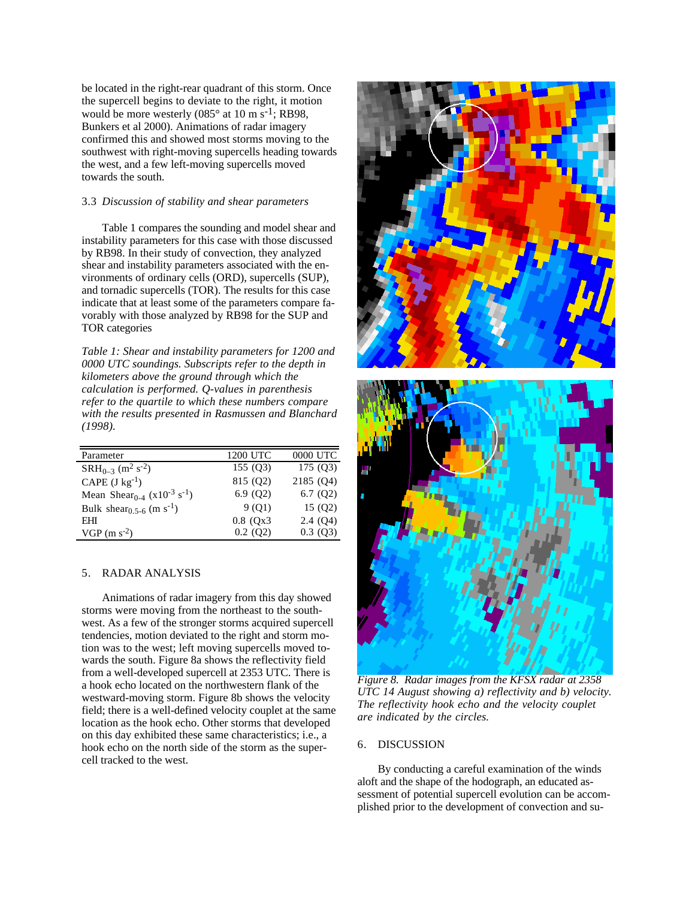be located in the right-rear quadrant of this storm. Once the supercell begins to deviate to the right, it motion would be more westerly  $(085^\circ \text{ at } 10 \text{ m s}^{-1})$ ; RB98, Bunkers et al 2000). Animations of radar imagery confirmed this and showed most storms moving to the southwest with right-moving supercells heading towards the west, and a few left-moving supercells moved towards the south.

#### 3.3 *Discussion of stability and shear parameters*

Table 1 compares the sounding and model shear and instability parameters for this case with those discussed by RB98. In their study of convection, they analyzed shear and instability parameters associated with the environments of ordinary cells (ORD), supercells (SUP), and tornadic supercells (TOR). The results for this case indicate that at least some of the parameters compare favorably with those analyzed by RB98 for the SUP and TOR categories

*Table 1: Shear and instability parameters for 1200 and 0000 UTC soundings. Subscripts refer to the depth in kilometers above the ground through which the calculation is performed. Q-values in parenthesis refer to the quartile to which these numbers compare with the results presented in Rasmussen and Blanchard (1998).*

| Parameter                                                      | 1200 UTC    | 0000 UTC  |
|----------------------------------------------------------------|-------------|-----------|
| $SRH_{0-3}$ (m <sup>2</sup> s <sup>-2</sup> )                  | 155(03)     | 175(Q3)   |
| CAPE $(J \text{ kg}^{-1})$                                     | 815 (Q2)    | 2185 (Q4) |
| Mean Shear <sub>0-4</sub> (x10 <sup>-3</sup> s <sup>-1</sup> ) | 6.9(Q2)     | 6.7(Q2)   |
| Bulk shear <sub>0.5-6</sub> (m s <sup>-1</sup> )               | 9(01)       | 15 (Q2)   |
| EHI                                                            | $0.8$ (Qx3) | 2.4(Q4)   |
| $VGP$ (m s <sup>-2</sup> )                                     | 0.2(02)     | 0.3(03)   |

#### 5. RADAR ANALYSIS

Animations of radar imagery from this day showed storms were moving from the northeast to the southwest. As a few of the stronger storms acquired supercell tendencies, motion deviated to the right and storm motion was to the west; left moving supercells moved towards the south. Figure 8a shows the reflectivity field from a well-developed supercell at 2353 UTC. There is a hook echo located on the northwestern flank of the westward-moving storm. Figure 8b shows the velocity field; there is a well-defined velocity couplet at the same location as the hook echo. Other storms that developed on this day exhibited these same characteristics; i.e., a hook echo on the north side of the storm as the supercell tracked to the west.



*Figure 8. Radar images from the KFSX radar at 2358 UTC 14 August showing a) reflectivity and b) velocity. The reflectivity hook echo and the velocity couplet are indicated by the circles.*

## 6. DISCUSSION

By conducting a careful examination of the winds aloft and the shape of the hodograph, an educated assessment of potential supercell evolution can be accomplished prior to the development of convection and su